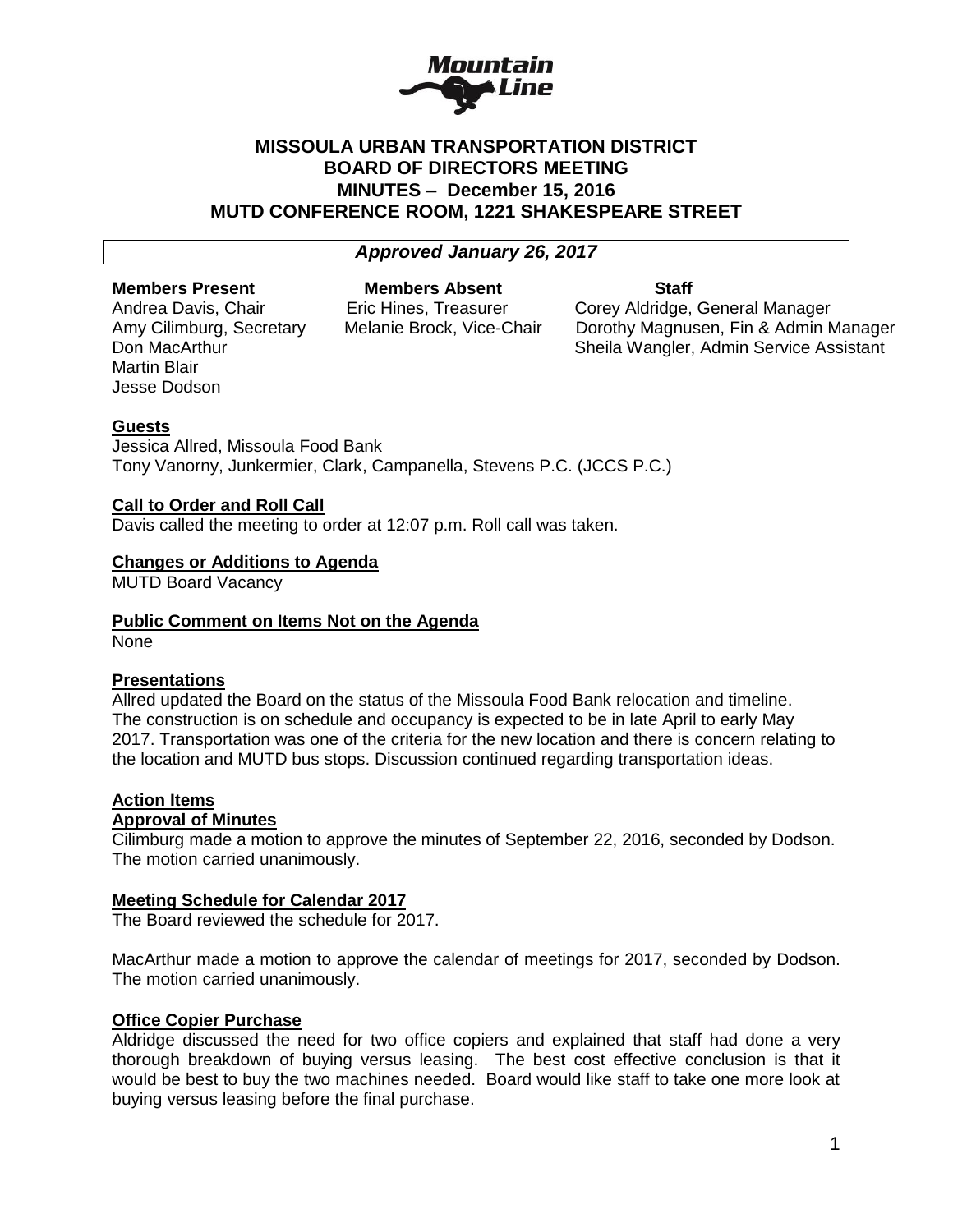

## **MISSOULA URBAN TRANSPORTATION DISTRICT BOARD OF DIRECTORS MEETING MINUTES – December 15, 2016 MUTD CONFERENCE ROOM, 1221 SHAKESPEARE STREET**

## *Approved January 26, 2017*

#### **Members Present Members Absent Staff**

Martin Blair Jesse Dodson

Andrea Davis, Chair **Eric Hines, Treasurer Corey Aldridge, General Manager** Amy Cilimburg, Secretary Melanie Brock, Vice-Chair Dorothy Magnusen. Fin & Admin N Amy Cilimburg, Secretary Melanie Brock, Vice-Chair Dorothy Magnusen, Fin & Admin Manager Don MacArthur Sheila Wangler, Admin Service Assistant

### **Guests**

Jessica Allred, Missoula Food Bank Tony Vanorny, Junkermier, Clark, Campanella, Stevens P.C. (JCCS P.C.)

### **Call to Order and Roll Call**

Davis called the meeting to order at 12:07 p.m. Roll call was taken.

## **Changes or Additions to Agenda**

MUTD Board Vacancy

#### **Public Comment on Items Not on the Agenda**

None

#### **Presentations**

Allred updated the Board on the status of the Missoula Food Bank relocation and timeline. The construction is on schedule and occupancy is expected to be in late April to early May 2017. Transportation was one of the criteria for the new location and there is concern relating to the location and MUTD bus stops. Discussion continued regarding transportation ideas.

### **Action Items**

## **Approval of Minutes**

Cilimburg made a motion to approve the minutes of September 22, 2016, seconded by Dodson. The motion carried unanimously.

#### **Meeting Schedule for Calendar 2017**

The Board reviewed the schedule for 2017.

MacArthur made a motion to approve the calendar of meetings for 2017, seconded by Dodson. The motion carried unanimously.

#### **Office Copier Purchase**

Aldridge discussed the need for two office copiers and explained that staff had done a very thorough breakdown of buying versus leasing. The best cost effective conclusion is that it would be best to buy the two machines needed. Board would like staff to take one more look at buying versus leasing before the final purchase.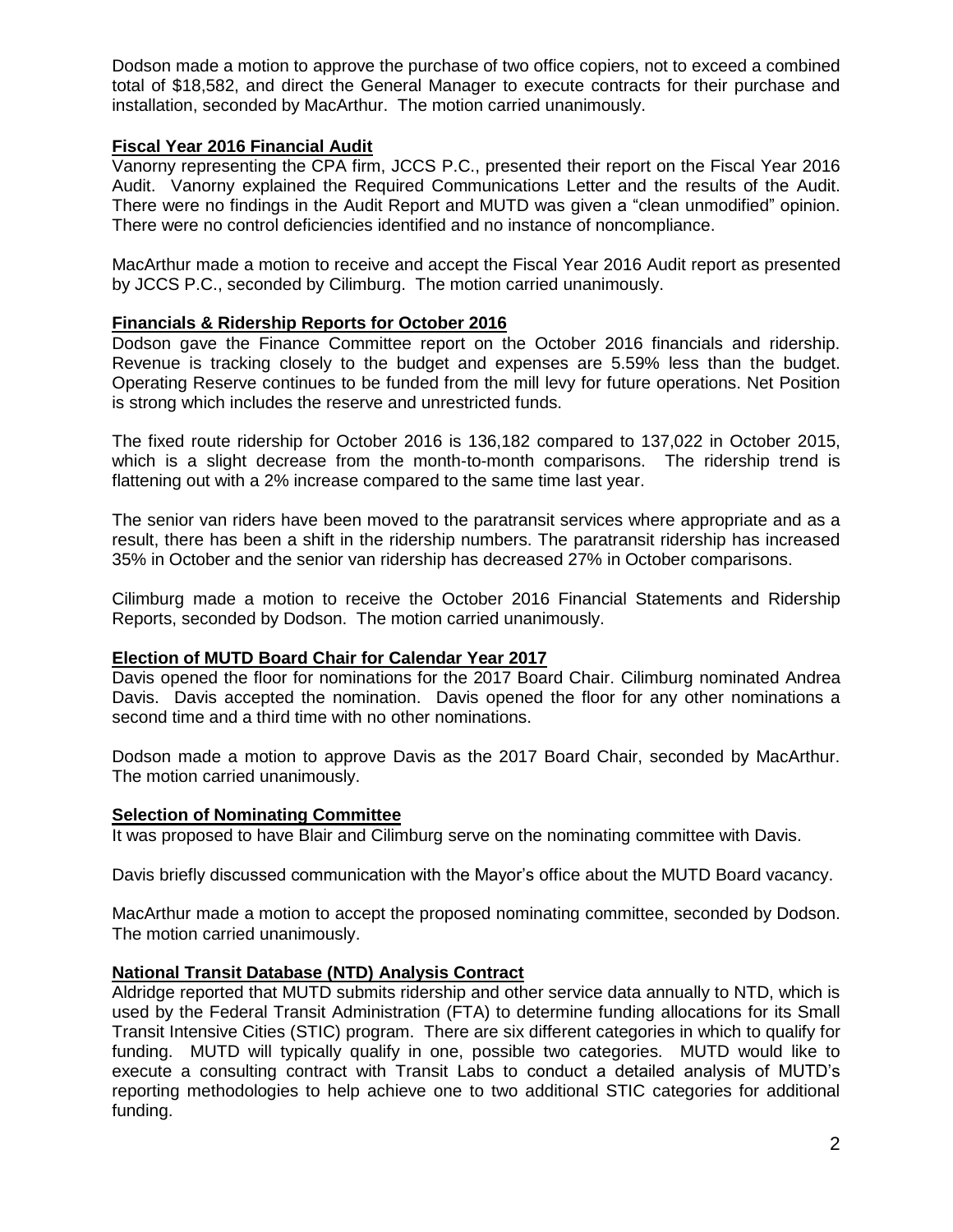Dodson made a motion to approve the purchase of two office copiers, not to exceed a combined total of \$18,582, and direct the General Manager to execute contracts for their purchase and installation, seconded by MacArthur. The motion carried unanimously.

## **Fiscal Year 2016 Financial Audit**

Vanorny representing the CPA firm, JCCS P.C., presented their report on the Fiscal Year 2016 Audit. Vanorny explained the Required Communications Letter and the results of the Audit. There were no findings in the Audit Report and MUTD was given a "clean unmodified" opinion. There were no control deficiencies identified and no instance of noncompliance.

MacArthur made a motion to receive and accept the Fiscal Year 2016 Audit report as presented by JCCS P.C., seconded by Cilimburg. The motion carried unanimously.

## **Financials & Ridership Reports for October 2016**

Dodson gave the Finance Committee report on the October 2016 financials and ridership. Revenue is tracking closely to the budget and expenses are 5.59% less than the budget. Operating Reserve continues to be funded from the mill levy for future operations. Net Position is strong which includes the reserve and unrestricted funds.

The fixed route ridership for October 2016 is 136,182 compared to 137,022 in October 2015, which is a slight decrease from the month-to-month comparisons. The ridership trend is flattening out with a 2% increase compared to the same time last year.

The senior van riders have been moved to the paratransit services where appropriate and as a result, there has been a shift in the ridership numbers. The paratransit ridership has increased 35% in October and the senior van ridership has decreased 27% in October comparisons.

Cilimburg made a motion to receive the October 2016 Financial Statements and Ridership Reports, seconded by Dodson. The motion carried unanimously.

## **Election of MUTD Board Chair for Calendar Year 2017**

Davis opened the floor for nominations for the 2017 Board Chair. Cilimburg nominated Andrea Davis. Davis accepted the nomination. Davis opened the floor for any other nominations a second time and a third time with no other nominations.

Dodson made a motion to approve Davis as the 2017 Board Chair, seconded by MacArthur. The motion carried unanimously.

## **Selection of Nominating Committee**

It was proposed to have Blair and Cilimburg serve on the nominating committee with Davis.

Davis briefly discussed communication with the Mayor's office about the MUTD Board vacancy.

MacArthur made a motion to accept the proposed nominating committee, seconded by Dodson. The motion carried unanimously.

## **National Transit Database (NTD) Analysis Contract**

Aldridge reported that MUTD submits ridership and other service data annually to NTD, which is used by the Federal Transit Administration (FTA) to determine funding allocations for its Small Transit Intensive Cities (STIC) program. There are six different categories in which to qualify for funding. MUTD will typically qualify in one, possible two categories. MUTD would like to execute a consulting contract with Transit Labs to conduct a detailed analysis of MUTD's reporting methodologies to help achieve one to two additional STIC categories for additional funding.